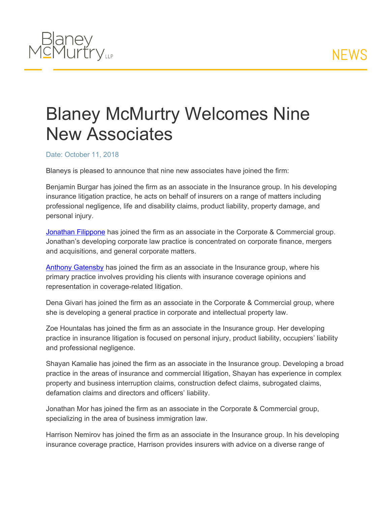

## Blaney McMurtry Welcomes Nine New Associates

## Date: October 11, 2018

Blaneys is pleased to announce that nine new associates have joined the firm:

Benjamin Burgar has joined the firm as an associate in the Insurance group. In his developing insurance litigation practice, he acts on behalf of insurers on a range of matters including professional negligence, life and disability claims, product liability, property damage, and personal injury.

[Jonathan](https://www.blaney.com/lawyers/jonathan-filippone-1) [Filippone](https://www.blaney.com/lawyers/jonathan-filippone-1) has joined the firm as an associate in the Corporate & Commercial group. Jonathan's developing corporate law practice is concentrated on corporate finance, mergers and acquisitions, and general corporate matters.

[Anthony](https://www.blaney.com/lawyers/anthony-gatensby) [Gatensby](https://www.blaney.com/lawyers/anthony-gatensby) has joined the firm as an associate in the Insurance group, where his primary practice involves providing his clients with insurance coverage opinions and representation in coverage-related litigation.

Dena Givari has joined the firm as an associate in the Corporate & Commercial group, where she is developing a general practice in corporate and intellectual property law.

Zoe Hountalas has joined the firm as an associate in the Insurance group. Her developing practice in insurance litigation is focused on personal injury, product liability, occupiers' liability and professional negligence.

Shayan Kamalie has joined the firm as an associate in the Insurance group. Developing a broad practice in the areas of insurance and commercial litigation, Shayan has experience in complex property and business interruption claims, construction defect claims, subrogated claims, defamation claims and directors and officers' liability.

Jonathan Mor has joined the firm as an associate in the Corporate & Commercial group, specializing in the area of business immigration law.

Harrison Nemirov has joined the firm as an associate in the Insurance group. In his developing insurance coverage practice, Harrison provides insurers with advice on a diverse range of